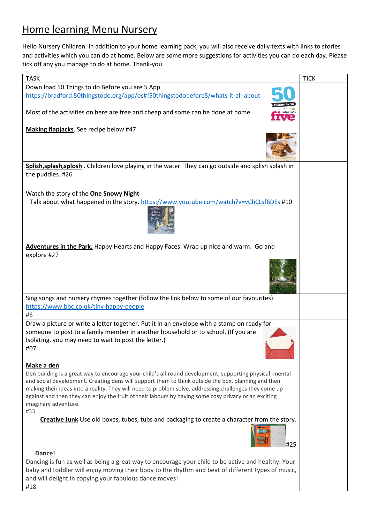## Home learning Menu Nursery

Hello Nursery Children. In addition to your home learning pack, you will also receive daily texts with links to stories and activities which you can do at home. Below are some more suggestions for activities you can do each day. Please tick off any you manage to do at home. Thank-you.

| <b>TASK</b>                                                                                                                                                                                                                                                                                                                                                                                                                                                       | <b>TICK</b> |
|-------------------------------------------------------------------------------------------------------------------------------------------------------------------------------------------------------------------------------------------------------------------------------------------------------------------------------------------------------------------------------------------------------------------------------------------------------------------|-------------|
| Down load 50 Things to do Before you are 5 App                                                                                                                                                                                                                                                                                                                                                                                                                    |             |
| https://bradford.50thingstodo.org/app/os#!50thingstodobefore5/whats-it-all-about                                                                                                                                                                                                                                                                                                                                                                                  |             |
| Most of the activities on here are free and cheap and some can be done at home                                                                                                                                                                                                                                                                                                                                                                                    |             |
| Making flapjacks. See recipe below #47                                                                                                                                                                                                                                                                                                                                                                                                                            |             |
|                                                                                                                                                                                                                                                                                                                                                                                                                                                                   |             |
| Splish, splash, splosh. Children love playing in the water. They can go outside and splish splash in<br>the puddles. #26                                                                                                                                                                                                                                                                                                                                          |             |
| Watch the story of the <b>One Snowy Night</b>                                                                                                                                                                                                                                                                                                                                                                                                                     |             |
| Talk about what happened in the story. https://www.youtube.com/watch?v=vChCLsf6DEs #10<br>One                                                                                                                                                                                                                                                                                                                                                                     |             |
| Adventures in the Park. Happy Hearts and Happy Faces. Wrap up nice and warm. Go and                                                                                                                                                                                                                                                                                                                                                                               |             |
| explore #27                                                                                                                                                                                                                                                                                                                                                                                                                                                       |             |
| Communication                                                                                                                                                                                                                                                                                                                                                                                                                                                     |             |
| Sing songs and nursery rhymes together (follow the link below to some of our favourites)                                                                                                                                                                                                                                                                                                                                                                          |             |
| https://www.bbc.co.uk/tiny-happy-people<br>#6                                                                                                                                                                                                                                                                                                                                                                                                                     |             |
| Draw a picture or write a letter together. Put it in an envelope with a stamp on ready for<br>someone to post to a family member in another household or to school. (If you are<br>Isolating, you may need to wait to post the letter.)<br>#07                                                                                                                                                                                                                    |             |
| Make a den                                                                                                                                                                                                                                                                                                                                                                                                                                                        |             |
| Den building is a great way to encourage your child's all-round development, supporting physical, mental<br>and social development. Creating dens will support them to think outside the box, planning and then<br>making their ideas into a reality. They will need to problem solve, addressing challenges they come up<br>against and then they can enjoy the fruit of their labours by having some cosy privacy or an exciting<br>imaginary adventure.<br>#33 |             |
| Creative Junk Use old boxes, tubes, tubs and packaging to create a character from the story.                                                                                                                                                                                                                                                                                                                                                                      |             |
| #25                                                                                                                                                                                                                                                                                                                                                                                                                                                               |             |
| Dance!                                                                                                                                                                                                                                                                                                                                                                                                                                                            |             |
| Dancing is fun as well as being a great way to encourage your child to be active and healthy. Your<br>baby and toddler will enjoy moving their body to the rhythm and beat of different types of music,<br>and will delight in copying your fabulous dance moves!<br>#18                                                                                                                                                                                          |             |